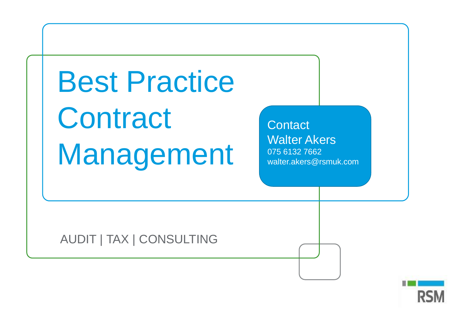Best Practice **Contract** Management

**Contact** Walter Akers 075 6132 7662 walter.akers@rsmuk.com

AUDIT | TAX | CONSULTING

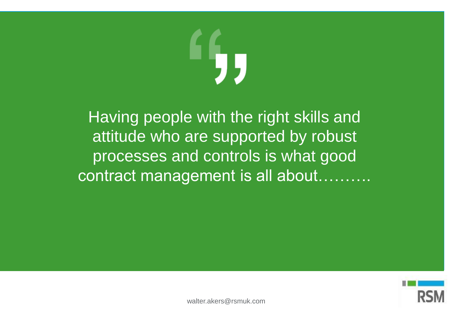Having people with the right skills and attitude who are supported by robust processes and controls is what good contract management is all about...

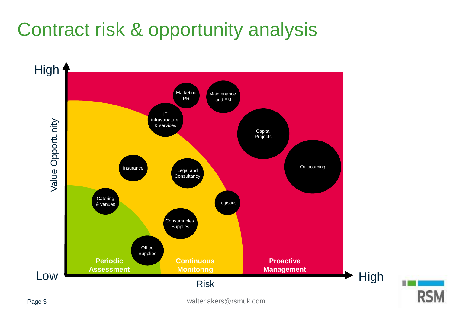## Contract risk & opportunity analysis

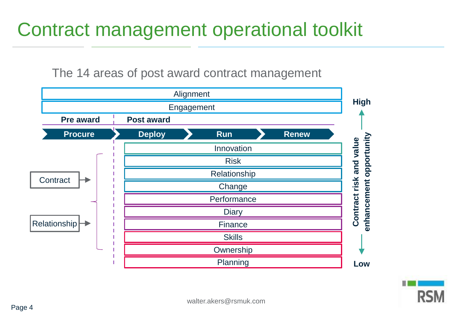

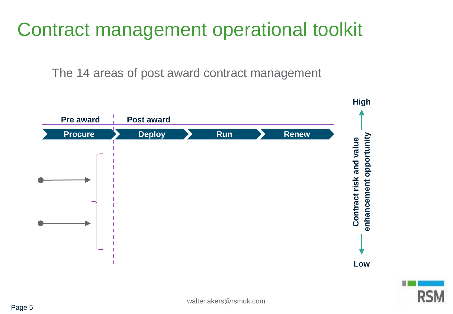

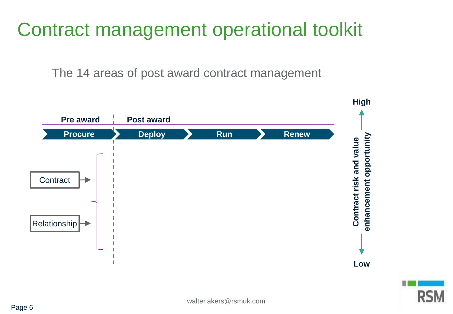

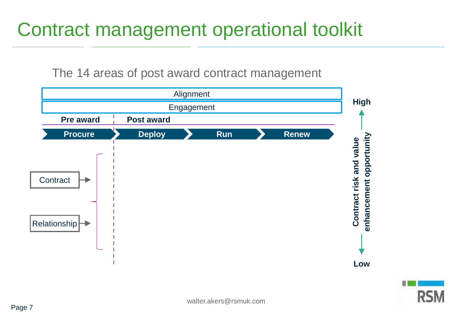

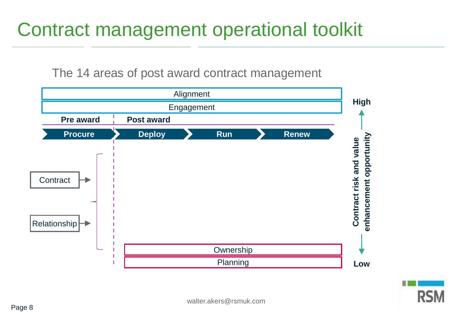

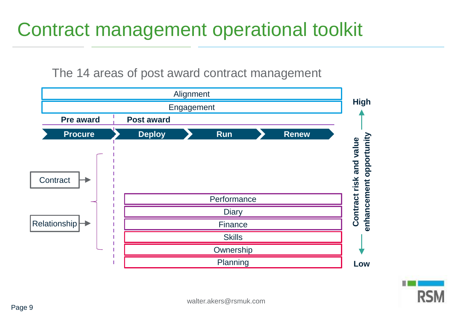

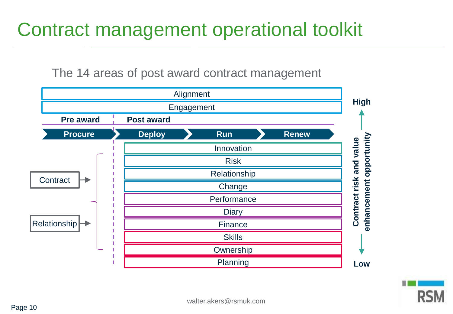

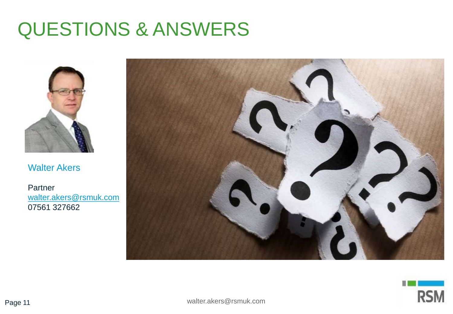#### QUESTIONS & ANSWERS



Walter Akers

**Partner** [walter.akers@rsmuk.com](mailto:walter.akers@rsmuk.com) 07561 327662



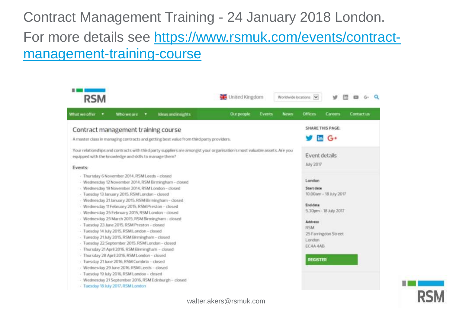#### Contract Management Training - 24 January 2018 London.

[For more details see https://www.rsmuk.com/events/contract](https://www.rsmuk.com/events/contract-management-training-course)management-training-course

| <b>RSM</b>                                                                                                                                                                                     |                                                                                                                                                                                                                                                                                                                                                                                                                                                                                                                                                                                                                                                                                                                                                                                                                                                                                 |  |                                                                                                                | United Kingdom |        |             | Worldwide locations [V]                                                                            |                                                                        |           |  |
|------------------------------------------------------------------------------------------------------------------------------------------------------------------------------------------------|---------------------------------------------------------------------------------------------------------------------------------------------------------------------------------------------------------------------------------------------------------------------------------------------------------------------------------------------------------------------------------------------------------------------------------------------------------------------------------------------------------------------------------------------------------------------------------------------------------------------------------------------------------------------------------------------------------------------------------------------------------------------------------------------------------------------------------------------------------------------------------|--|----------------------------------------------------------------------------------------------------------------|----------------|--------|-------------|----------------------------------------------------------------------------------------------------|------------------------------------------------------------------------|-----------|--|
| What we offer<br>٠                                                                                                                                                                             | Who we are                                                                                                                                                                                                                                                                                                                                                                                                                                                                                                                                                                                                                                                                                                                                                                                                                                                                      |  | <b>Ideas and insights</b>                                                                                      | Our people     | Events | <b>News</b> | <b>Offices</b>                                                                                     | Careers                                                                | Contactus |  |
| Contract management training course<br>A master class in managing contracts and getting best value from third party providers.                                                                 |                                                                                                                                                                                                                                                                                                                                                                                                                                                                                                                                                                                                                                                                                                                                                                                                                                                                                 |  |                                                                                                                |                |        |             | <b>SHARE THIS PAGE:</b><br>$\overline{m}$ G <sup>+</sup>                                           |                                                                        |           |  |
| Your relationships and contracts with third party suppliers are amongst your organisation's most valuable assets. Are you<br>equipped with the knowledge and skills to manage them?<br>Events: |                                                                                                                                                                                                                                                                                                                                                                                                                                                                                                                                                                                                                                                                                                                                                                                                                                                                                 |  |                                                                                                                |                |        |             | Event details<br>July 2017                                                                         |                                                                        |           |  |
|                                                                                                                                                                                                | - Thursday 6 November 2014, RSM Leeds - closed<br>- Wednesday 19 November 2014, RSM London - closed<br>- Tuesday 13 January 2015, RSM London - closed<br>- Wednesday 21 January 2015, RSM Birmingham - closed<br>- Wednesday 11 February 2015, RSM Preston - closed<br>- Wednesday 25 February 2015, RSM London - closed<br>- Wednesday 25 March 2015, RSM Birmingham - closed<br>- Tuesday 23 June 2015, RSM Preston - closed<br>- Tuesday 34 July 2015, RSM London - closed<br>- Tuesday 21 July 2015, RSM Birmingham - closed<br>- Tuesday 22 September 2015, RSM London - closed<br>- Thursday 21 April 2016, RSM Birmingham - closed<br>- Thursday 28 April 2016, RSM London - closed<br>- Tuesday 21 June 2016, RSM Cumbria - closed<br>- Wednesday 29 June 2016, RSM Leeds - closed<br>- Tuesday 19 July 2016, RSM London - closed<br>- Tuesday 18 July 2017, RSM London |  | - Wednesday 12 November 2014, RSM Birmingham - closed<br>- Wednesday 21 September 2016, RSM Edinburgh - closed |                |        |             | London<br>Start date<br>End date<br>Address<br><b>RSM</b><br>London<br>EC4A 4AB<br><b>REGISTER</b> | 10.00am - 18 July 2017<br>5.30pm - 18 July 2017<br>25 Famingdon Street |           |  |



walter.akers@rsmuk.com